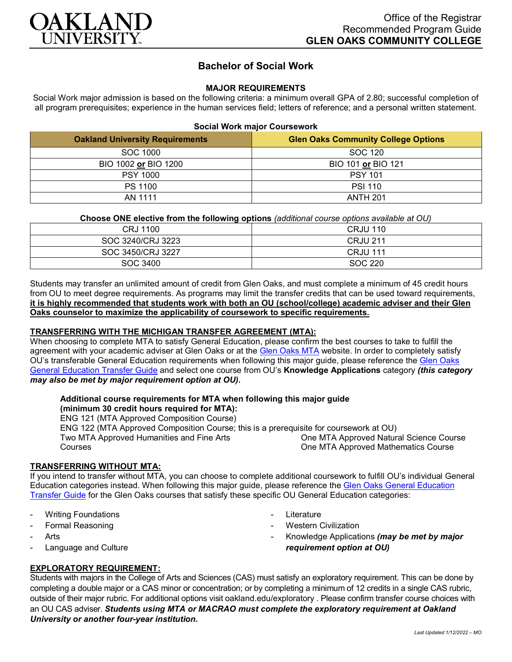

# **Bachelor of Social Work**

#### **MAJOR REQUIREMENTS**

Social Work major admission is based on the following criteria: a minimum overall GPA of 2.80; successful completion of all program prerequisites; experience in the human services field; letters of reference; and a personal written statement.

|  | <b>Social Work major Coursework</b> |
|--|-------------------------------------|
|--|-------------------------------------|

| <b>Oakland University Requirements</b> | <b>Glen Oaks Community College Options</b> |
|----------------------------------------|--------------------------------------------|
| SOC 1000                               | SOC 120                                    |
| BIO 1002 or BIO 1200                   | BIO 101 or BIO 121                         |
| <b>PSY 1000</b>                        | <b>PSY 101</b>                             |
| PS 1100                                | <b>PSI 110</b>                             |
| AN 1111                                | <b>ANTH 201</b>                            |

#### **Choose ONE elective from the following options** *(additional course options available at OU)*

| CRJ 1100          | <b>CRJU 110</b> |
|-------------------|-----------------|
| SOC 3240/CRJ 3223 | <b>CRJU 211</b> |
| SOC 3450/CRJ 3227 | <b>CRJU 111</b> |
| SOC 3400          | SOC 220         |

Students may transfer an unlimited amount of credit from Glen Oaks, and must complete a minimum of 45 credit hours from OU to meet degree requirements. As programs may limit the transfer credits that can be used toward requirements, **it is highly recommended that students work with both an OU (school/college) academic adviser and their Glen Oaks counselor to maximize the applicability of coursework to specific requirements.**

## **TRANSFERRING WITH THE MICHIGAN TRANSFER AGREEMENT (MTA):**

When choosing to complete MTA to satisfy General Education, please confirm the best courses to take to fulfill the agreement with your academic adviser at Glen Oaks or at the [Glen Oaks MTA](https://www.glenoaks.edu/current-students/registration-records/#MTA) website. In order to completely satisfy OU's transferable General Education requirements when following this major guide, please reference the [Glen Oaks](https://www.oakland.edu/Assets/Oakland/program-guides/glen-oaks-community-college/university-general-education-requirements/Glen%20Oaks%20Gen%20Ed.pdf)  [General Education Transfer Guide](https://www.oakland.edu/Assets/Oakland/program-guides/glen-oaks-community-college/university-general-education-requirements/Glen%20Oaks%20Gen%20Ed.pdf) and select one course from OU's **Knowledge Applications** category *(this category may also be met by major requirement option at OU).*

## **Additional course requirements for MTA when following this major guide**

**(minimum 30 credit hours required for MTA):** ENG 121 (MTA Approved Composition Course) ENG 122 (MTA Approved Composition Course; this is a prerequisite for coursework at OU) Two MTA Approved Humanities and Fine Arts **Courses** One MTA Approved Natural Science Course One MTA Approved Mathematics Course

## **TRANSFERRING WITHOUT MTA:**

If you intend to transfer without MTA, you can choose to complete additional coursework to fulfill OU's individual General Education categories instead. When following this major guide, please reference the [Glen Oaks General Education](https://www.oakland.edu/Assets/Oakland/program-guides/glen-oaks-community-college/university-general-education-requirements/Glen%20Oaks%20Gen%20Ed.pdf)  [Transfer Guide](https://www.oakland.edu/Assets/Oakland/program-guides/glen-oaks-community-college/university-general-education-requirements/Glen%20Oaks%20Gen%20Ed.pdf) for the Glen Oaks courses that satisfy these specific OU General Education categories:

- **Writing Foundations**
- Formal Reasoning
- **Arts**
- Language and Culture
- **Literature**
- **Western Civilization**
- Knowledge Applications *(may be met by major requirement option at OU)*

## **EXPLORATORY REQUIREMENT:**

Students with majors in the College of Arts and Sciences (CAS) must satisfy an exploratory requirement. This can be done by completing a double major or a CAS minor or concentration; or by completing a minimum of 12 credits in a single CAS rubric, outside of their major rubric. For additional options visit [oakland.edu/exploratory](http://www.oakland.edu/exploratory) . Please confirm transfer course choices with an OU CAS adviser. *Students using MTA or MACRAO must complete the exploratory requirement at Oakland University or another four-year institution.*